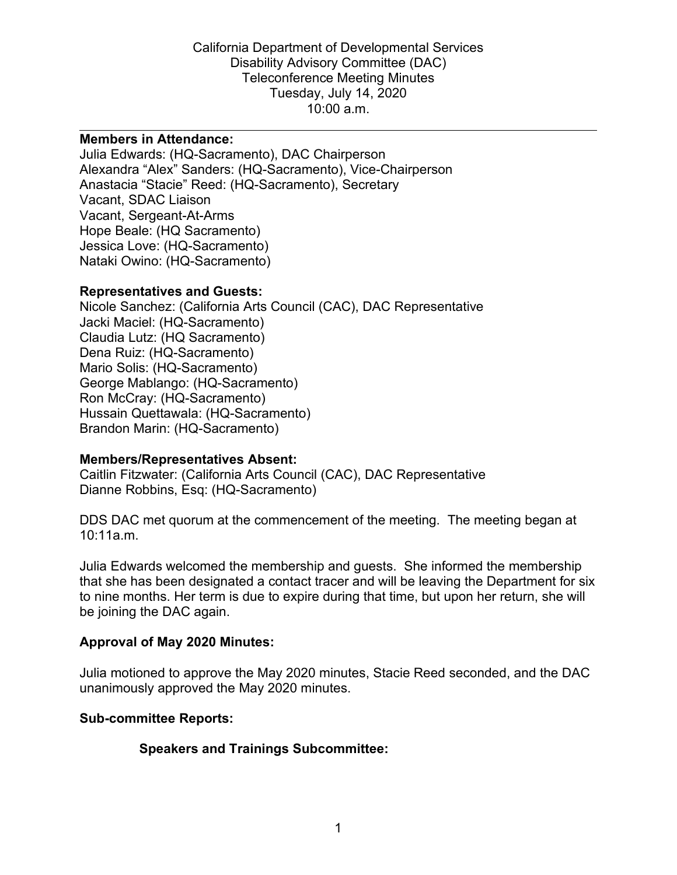California Department of Developmental Services Disability Advisory Committee (DAC) Teleconference Meeting Minutes Tuesday, July 14, 2020 10:00 a.m.

#### **Members in Attendance:**

Julia Edwards: (HQ-Sacramento), DAC Chairperson Alexandra "Alex" Sanders: (HQ-Sacramento), Vice-Chairperson Anastacia "Stacie" Reed: (HQ-Sacramento), Secretary Vacant, SDAC Liaison Vacant, Sergeant-At-Arms Hope Beale: (HQ Sacramento) Jessica Love: (HQ-Sacramento) Nataki Owino: (HQ-Sacramento)

#### **Representatives and Guests:**

Nicole Sanchez: (California Arts Council (CAC), DAC Representative Jacki Maciel: (HQ-Sacramento) Claudia Lutz: (HQ Sacramento) Dena Ruiz: (HQ-Sacramento) Mario Solis: (HQ-Sacramento) George Mablango: (HQ-Sacramento) Ron McCray: (HQ-Sacramento) Hussain Quettawala: (HQ-Sacramento) Brandon Marin: (HQ-Sacramento)

### **Members/Representatives Absent:**

Caitlin Fitzwater: (California Arts Council (CAC), DAC Representative Dianne Robbins, Esq: (HQ-Sacramento)

DDS DAC met quorum at the commencement of the meeting. The meeting began at 10:11a.m.

Julia Edwards welcomed the membership and guests. She informed the membership that she has been designated a contact tracer and will be leaving the Department for six to nine months. Her term is due to expire during that time, but upon her return, she will be joining the DAC again.

### **Approval of May 2020 Minutes:**

Julia motioned to approve the May 2020 minutes, Stacie Reed seconded, and the DAC unanimously approved the May 2020 minutes.

### **Sub-committee Reports:**

### **Speakers and Trainings Subcommittee:**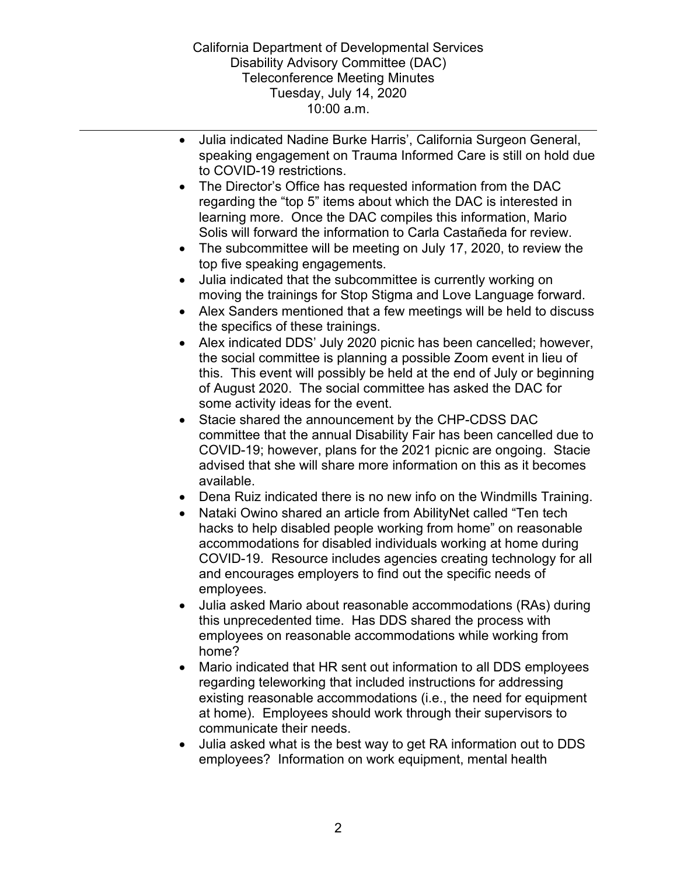- Julia indicated Nadine Burke Harris', California Surgeon General, speaking engagement on Trauma Informed Care is still on hold due to COVID-19 restrictions. The Director's Office has requested information from the DAC regarding the "top 5" items about which the DAC is interested in learning more. Once the DAC compiles this information, Mario Solis will forward the information to Carla Castañeda for review. • The subcommittee will be meeting on July 17, 2020, to review the top five speaking engagements. • Julia indicated that the subcommittee is currently working on moving the trainings for Stop Stigma and Love Language forward. • Alex Sanders mentioned that a few meetings will be held to discuss the specifics of these trainings. • Alex indicated DDS' July 2020 picnic has been cancelled; however, the social committee is planning a possible Zoom event in lieu of this. This event will possibly be held at the end of July or beginning of August 2020. The social committee has asked the DAC for some activity ideas for the event. • Stacie shared the announcement by the CHP-CDSS DAC committee that the annual Disability Fair has been cancelled due to COVID-19; however, plans for the 2021 picnic are ongoing. Stacie advised that she will share more information on this as it becomes available. • Dena Ruiz indicated there is no new info on the Windmills Training. • Nataki Owino shared an article from AbilityNet called "Ten tech hacks to help disabled people working from home" on reasonable accommodations for disabled individuals working at home during COVID-19. Resource includes agencies creating technology for all and encourages employers to find out the specific needs of employees. • Julia asked Mario about reasonable accommodations (RAs) during this unprecedented time. Has DDS shared the process with employees on reasonable accommodations while working from home? • Mario indicated that HR sent out information to all DDS employees
	- regarding teleworking that included instructions for addressing existing reasonable accommodations (i.e., the need for equipment at home). Employees should work through their supervisors to communicate their needs.
	- Julia asked what is the best way to get RA information out to DDS employees? Information on work equipment, mental health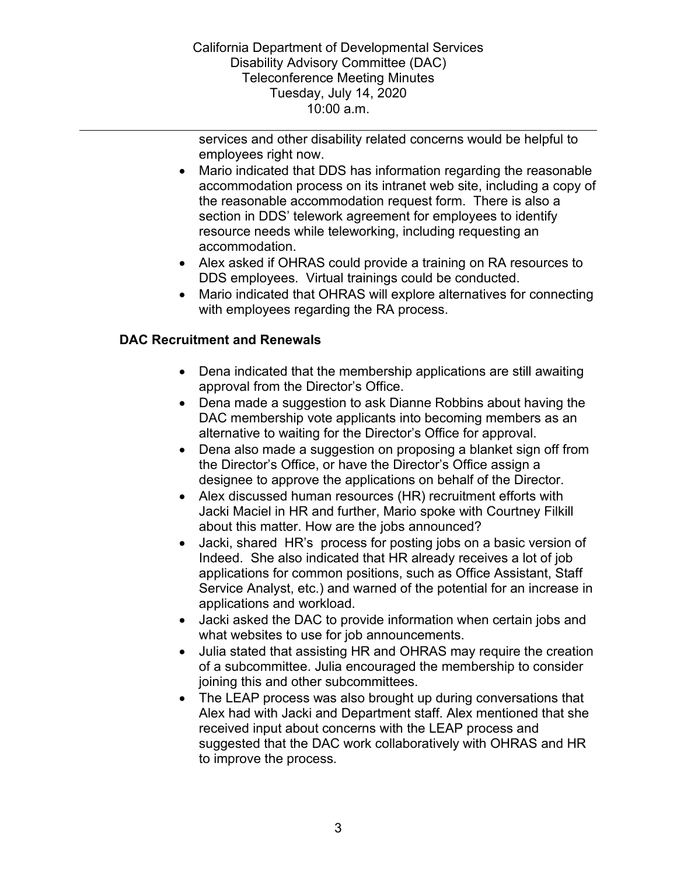California Department of Developmental Services Disability Advisory Committee (DAC) Teleconference Meeting Minutes Tuesday, July 14, 2020 10:00 a.m.

services and other disability related concerns would be helpful to employees right now.

- Mario indicated that DDS has information regarding the reasonable accommodation process on its intranet web site, including a copy of the reasonable accommodation request form. There is also a section in DDS' telework agreement for employees to identify resource needs while teleworking, including requesting an accommodation.
- Alex asked if OHRAS could provide a training on RA resources to DDS employees. Virtual trainings could be conducted.
- Mario indicated that OHRAS will explore alternatives for connecting with employees regarding the RA process.

# **DAC Recruitment and Renewals**

- Dena indicated that the membership applications are still awaiting approval from the Director's Office.
- Dena made a suggestion to ask Dianne Robbins about having the DAC membership vote applicants into becoming members as an alternative to waiting for the Director's Office for approval.
- Dena also made a suggestion on proposing a blanket sign off from the Director's Office, or have the Director's Office assign a designee to approve the applications on behalf of the Director.
- Alex discussed human resources (HR) recruitment efforts with Jacki Maciel in HR and further, Mario spoke with Courtney Filkill about this matter. How are the jobs announced?
- Jacki, shared HR's process for posting jobs on a basic version of Indeed. She also indicated that HR already receives a lot of job applications for common positions, such as Office Assistant, Staff Service Analyst, etc.) and warned of the potential for an increase in applications and workload.
- Jacki asked the DAC to provide information when certain jobs and what websites to use for job announcements.
- Julia stated that assisting HR and OHRAS may require the creation of a subcommittee. Julia encouraged the membership to consider joining this and other subcommittees.
- The LEAP process was also brought up during conversations that Alex had with Jacki and Department staff. Alex mentioned that she received input about concerns with the LEAP process and suggested that the DAC work collaboratively with OHRAS and HR to improve the process.